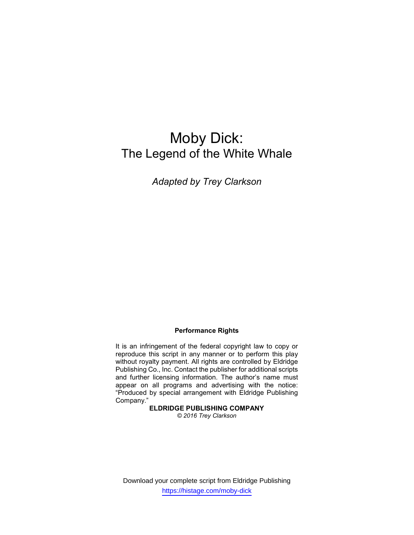# Moby Dick: The Legend of the White Whale

Adapted by Trey Clarkson

## Performance Rights

It is an infringement of the federal copyright law to copy or reproduce this script in any manner or to perform this play without royalty payment. All rights are controlled by Eldridge Publishing Co., Inc. Contact the publisher for additional scripts and further licensing information. The author's name must appear on all programs and advertising with the notice: "Produced by special arrangement with Eldridge Publishing Company."

ELDRIDGE PUBLISHING COMPANY © 2016 Trey Clarkson

Download your complete script from Eldridge Publishing https://histage.com/moby-dick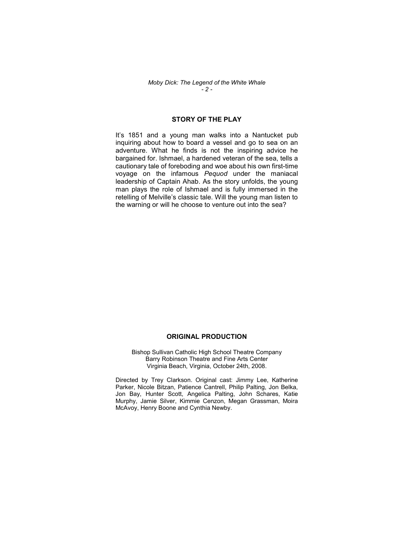#### Moby Dick: The Legend of the White Whale  $-2 -$

## STORY OF THE PLAY

It's 1851 and a young man walks into a Nantucket pub inquiring about how to board a vessel and go to sea on an adventure. What he finds is not the inspiring advice he bargained for. Ishmael, a hardened veteran of the sea, tells a cautionary tale of foreboding and woe about his own first-time voyage on the infamous Pequod under the maniacal leadership of Captain Ahab. As the story unfolds, the young man plays the role of Ishmael and is fully immersed in the retelling of Melville's classic tale. Will the young man listen to the warning or will he choose to venture out into the sea?

### ORIGINAL PRODUCTION

Bishop Sullivan Catholic High School Theatre Company Barry Robinson Theatre and Fine Arts Center Virginia Beach, Virginia, October 24th, 2008.

Directed by Trey Clarkson. Original cast: Jimmy Lee, Katherine Parker, Nicole Bitzan, Patience Cantrell, Philip Palting, Jon Belka, Jon Bay, Hunter Scott, Angelica Palting, John Schares, Katie Murphy, Jamie Silver, Kimmie Cenzon, Megan Grassman, Moira McAvoy, Henry Boone and Cynthia Newby.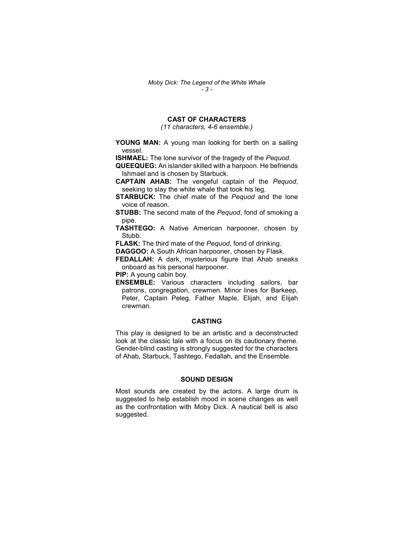## CAST OF CHARACTERS

(11 characters, 4-6 ensemble.)

YOUNG MAN: A young man looking for berth on a sailing vessel.

**ISHMAEL:** The lone survivor of the tragedy of the Pequod.

QUEEQUEG: An islander skilled with a harpoon. He befriends Ishmael and is chosen by Starbuck.

CAPTAIN AHAB: The vengeful captain of the Pequod, seeking to slay the white whale that took his leg.

**STARBUCK:** The chief mate of the Pequod and the lone voice of reason.

**STUBB:** The second mate of the Pequod, fond of smoking a pipe.

TASHTEGO: A Native American harpooner, chosen by Stubb.

FLASK: The third mate of the Pequod, fond of drinking.

DAGGOO: A South African harpooner, chosen by Flask.

FEDALLAH: A dark, mysterious figure that Ahab sneaks onboard as his personal harpooner.

PIP: A young cabin boy.

ENSEMBLE: Various characters including sailors, bar patrons, congregation, crewmen. Minor lines for Barkeep, Peter, Captain Peleg, Father Maple, Elijah, and Elijah crewman.

#### CASTING

This play is designed to be an artistic and a deconstructed look at the classic tale with a focus on its cautionary theme. Gender-blind casting is strongly suggested for the characters of Ahab, Starbuck, Tashtego, Fedallah, and the Ensemble.

#### SOUND DESIGN

Most sounds are created by the actors. A large drum is suggested to help establish mood in scene changes as well as the confrontation with Moby Dick. A nautical bell is also suggested.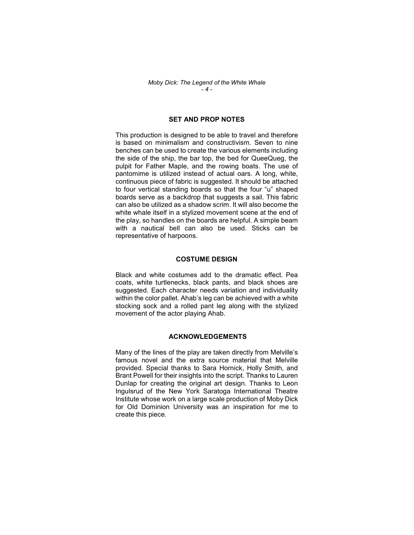#### Moby Dick: The Legend of the White Whale  $-4-$

## SET AND PROP NOTES

This production is designed to be able to travel and therefore is based on minimalism and constructivism. Seven to nine benches can be used to create the various elements including the side of the ship, the bar top, the bed for QueeQueg, the pulpit for Father Maple, and the rowing boats. The use of pantomime is utilized instead of actual oars. A long, white, continuous piece of fabric is suggested. It should be attached to four vertical standing boards so that the four "u" shaped boards serve as a backdrop that suggests a sail. This fabric can also be utilized as a shadow scrim. It will also become the white whale itself in a stylized movement scene at the end of the play, so handles on the boards are helpful. A simple beam with a nautical bell can also be used. Sticks can be representative of harpoons.

#### COSTUME DESIGN

Black and white costumes add to the dramatic effect. Pea coats, white turtlenecks, black pants, and black shoes are suggested. Each character needs variation and individuality within the color pallet. Ahab's leg can be achieved with a white stocking sock and a rolled pant leg along with the stylized movement of the actor playing Ahab.

#### ACKNOWLEDGEMENTS

Many of the lines of the play are taken directly from Melville's famous novel and the extra source material that Melville provided. Special thanks to Sara Hornick, Holly Smith, and Brant Powell for their insights into the script. Thanks to Lauren Dunlap for creating the original art design. Thanks to Leon Ingulsrud of the New York Saratoga International Theatre Institute whose work on a large scale production of Moby Dick for Old Dominion University was an inspiration for me to create this piece.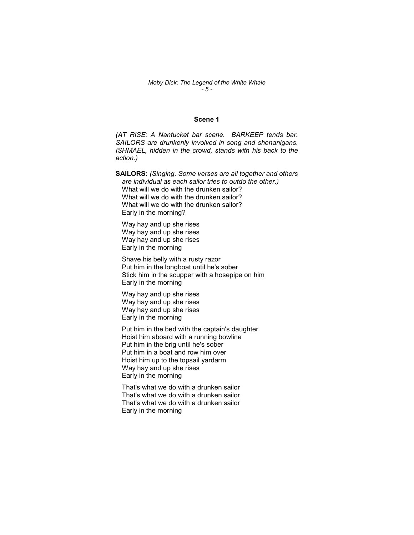#### Moby Dick: The Legend of the White Whale  $-5 -$

#### Scene 1

(AT RISE: A Nantucket bar scene. BARKEEP tends bar. SAILORS are drunkenly involved in song and shenanigans. ISHMAEL, hidden in the crowd, stands with his back to the action.)

SAILORS: (Singing. Some verses are all together and others are individual as each sailor tries to outdo the other.) What will we do with the drunken sailor? What will we do with the drunken sailor? What will we do with the drunken sailor? Early in the morning?

Way hay and up she rises Way hay and up she rises Way hay and up she rises Early in the morning

Shave his belly with a rusty razor Put him in the longboat until he's sober Stick him in the scupper with a hosepipe on him Early in the morning

Way hay and up she rises Way hay and up she rises Way hay and up she rises Early in the morning

Put him in the bed with the captain's daughter Hoist him aboard with a running bowline Put him in the brig until he's sober Put him in a boat and row him over Hoist him up to the topsail yardarm Way hay and up she rises Early in the morning

That's what we do with a drunken sailor That's what we do with a drunken sailor That's what we do with a drunken sailor Early in the morning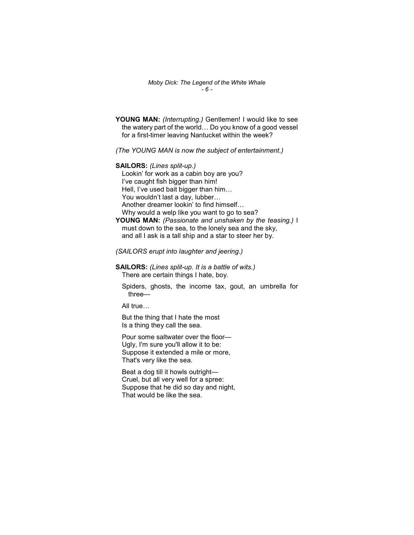Moby Dick: The Legend of the White Whale  $-6 -$ 

YOUNG MAN: (Interrupting.) Gentlemen! I would like to see the watery part of the world… Do you know of a good vessel for a first-timer leaving Nantucket within the week?

(The YOUNG MAN is now the subject of entertainment.)

SAILORS: (Lines split-up.)

Lookin' for work as a cabin boy are you? I've caught fish bigger than him! Hell, I've used bait bigger than him… You wouldn't last a day, lubber… Another dreamer lookin' to find himself… Why would a welp like you want to go to sea?

YOUNG MAN: (Passionate and unshaken by the teasing.) I must down to the sea, to the lonely sea and the sky, and all I ask is a tall ship and a star to steer her by.

(SAILORS erupt into laughter and jeering.)

SAILORS: (Lines split-up. It is a battle of wits.) There are certain things I hate, boy.

Spiders, ghosts, the income tax, gout, an umbrella for three—

All true…

But the thing that I hate the most Is a thing they call the sea.

Pour some saltwater over the floor— Ugly, I'm sure you'll allow it to be: Suppose it extended a mile or more, That's very like the sea.

Beat a dog till it howls outright— Cruel, but all very well for a spree: Suppose that he did so day and night, That would be like the sea.